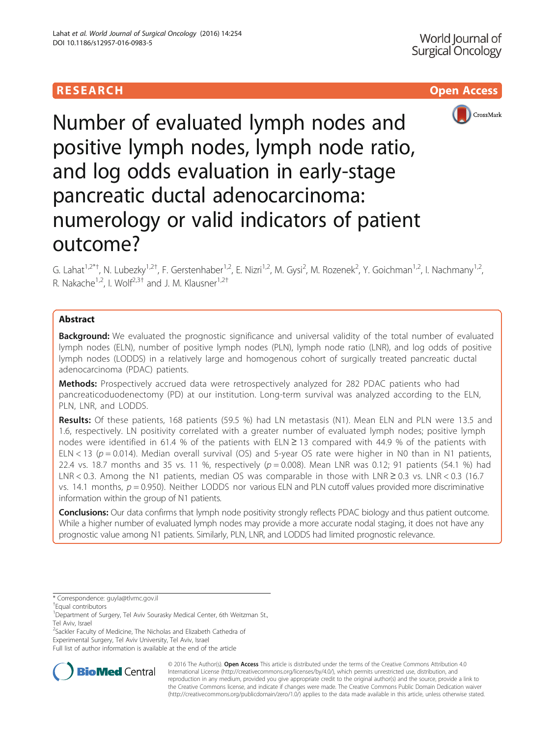



# Number of evaluated lymph nodes and positive lymph nodes, lymph node ratio, and log odds evaluation in early-stage pancreatic ductal adenocarcinoma: numerology or valid indicators of patient outcome?

G. Lahat<sup>1,2\*†</sup>, N. Lubezky<sup>1,2†</sup>, F. Gerstenhaber<sup>1,2</sup>, E. Nizri<sup>1,2</sup>, M. Gysi<sup>2</sup>, M. Rozenek<sup>2</sup>, Y. Goichman<sup>1,2</sup>, I. Nachmany<sup>1,2</sup>, R. Nakache<sup>1,2</sup>, I. Wolf<sup>2,3†</sup> and J. M. Klausner<sup>1,2†</sup>

# **Abstract**

**Background:** We evaluated the prognostic significance and universal validity of the total number of evaluated lymph nodes (ELN), number of positive lymph nodes (PLN), lymph node ratio (LNR), and log odds of positive lymph nodes (LODDS) in a relatively large and homogenous cohort of surgically treated pancreatic ductal adenocarcinoma (PDAC) patients.

Methods: Prospectively accrued data were retrospectively analyzed for 282 PDAC patients who had pancreaticoduodenectomy (PD) at our institution. Long-term survival was analyzed according to the ELN, PLN, LNR, and LODDS.

Results: Of these patients, 168 patients (59.5 %) had LN metastasis (N1). Mean ELN and PLN were 13.5 and 1.6, respectively. LN positivity correlated with a greater number of evaluated lymph nodes; positive lymph nodes were identified in 61.4 % of the patients with ELN ≥ 13 compared with 44.9 % of the patients with ELN < 13 ( $p = 0.014$ ). Median overall survival (OS) and 5-year OS rate were higher in N0 than in N1 patients, 22.4 vs. 18.7 months and 35 vs. 11 %, respectively ( $p = 0.008$ ). Mean LNR was 0.12; 91 patients (54.1 %) had LNR < 0.3. Among the N1 patients, median OS was comparable in those with LNR  $\geq$  0.3 vs. LNR < 0.3 (16.7) vs. 14.1 months,  $p = 0.950$ ). Neither LODDS nor various ELN and PLN cutoff values provided more discriminative information within the group of N1 patients.

Conclusions: Our data confirms that lymph node positivity strongly reflects PDAC biology and thus patient outcome. While a higher number of evaluated lymph nodes may provide a more accurate nodal staging, it does not have any prognostic value among N1 patients. Similarly, PLN, LNR, and LODDS had limited prognostic relevance.

\* Correspondence: [guyla@tlvmc.gov.il](mailto:guyla@tlvmc.gov.il) †

Equal contributors

<sup>2</sup>Sackler Faculty of Medicine, The Nicholas and Elizabeth Cathedra of

Experimental Surgery, Tel Aviv University, Tel Aviv, Israel

Full list of author information is available at the end of the article



© 2016 The Author(s). Open Access This article is distributed under the terms of the Creative Commons Attribution 4.0 International License [\(http://creativecommons.org/licenses/by/4.0/](http://creativecommons.org/licenses/by/4.0/)), which permits unrestricted use, distribution, and reproduction in any medium, provided you give appropriate credit to the original author(s) and the source, provide a link to the Creative Commons license, and indicate if changes were made. The Creative Commons Public Domain Dedication waiver [\(http://creativecommons.org/publicdomain/zero/1.0/](http://creativecommons.org/publicdomain/zero/1.0/)) applies to the data made available in this article, unless otherwise stated.

<sup>&</sup>lt;sup>1</sup>Department of Surgery, Tel Aviv Sourasky Medical Center, 6th Weitzman St., Tel Aviv, Israel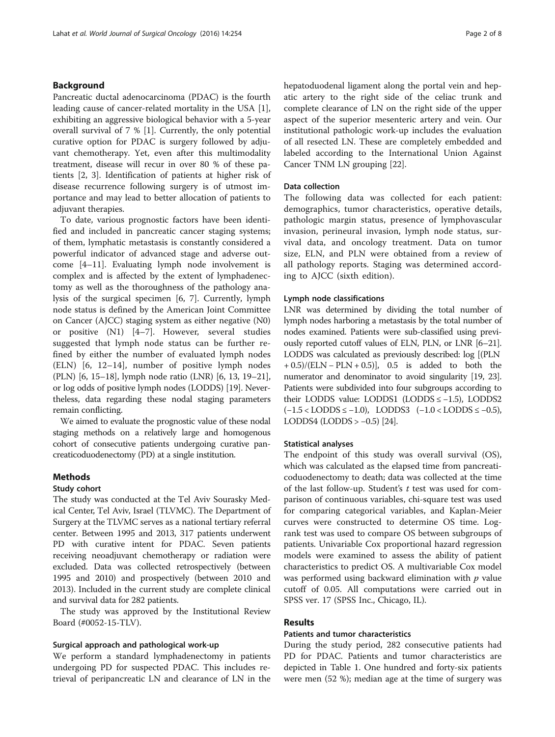# Background

Pancreatic ductal adenocarcinoma (PDAC) is the fourth leading cause of cancer-related mortality in the USA [\[1](#page-6-0)], exhibiting an aggressive biological behavior with a 5-year overall survival of 7 % [\[1](#page-6-0)]. Currently, the only potential curative option for PDAC is surgery followed by adjuvant chemotherapy. Yet, even after this multimodality treatment, disease will recur in over 80 % of these patients [[2, 3](#page-6-0)]. Identification of patients at higher risk of disease recurrence following surgery is of utmost importance and may lead to better allocation of patients to adjuvant therapies.

To date, various prognostic factors have been identified and included in pancreatic cancer staging systems; of them, lymphatic metastasis is constantly considered a powerful indicator of advanced stage and adverse outcome [\[4](#page-6-0)–[11\]](#page-6-0). Evaluating lymph node involvement is complex and is affected by the extent of lymphadenectomy as well as the thoroughness of the pathology analysis of the surgical specimen [[6, 7\]](#page-6-0). Currently, lymph node status is defined by the American Joint Committee on Cancer (AJCC) staging system as either negative (N0) or positive (N1) [\[4](#page-6-0)–[7\]](#page-6-0). However, several studies suggested that lymph node status can be further refined by either the number of evaluated lymph nodes (ELN) [[6, 12](#page-6-0)–[14\]](#page-6-0), number of positive lymph nodes (PLN) [\[6](#page-6-0), [15](#page-6-0)–[18\]](#page-7-0), lymph node ratio (LNR) [\[6](#page-6-0), [13,](#page-6-0) [19](#page-7-0)–[21](#page-7-0)], or log odds of positive lymph nodes (LODDS) [[19](#page-7-0)]. Nevertheless, data regarding these nodal staging parameters remain conflicting.

We aimed to evaluate the prognostic value of these nodal staging methods on a relatively large and homogenous cohort of consecutive patients undergoing curative pancreaticoduodenectomy (PD) at a single institution.

# **Methods**

#### Study cohort

The study was conducted at the Tel Aviv Sourasky Medical Center, Tel Aviv, Israel (TLVMC). The Department of Surgery at the TLVMC serves as a national tertiary referral center. Between 1995 and 2013, 317 patients underwent PD with curative intent for PDAC. Seven patients receiving neoadjuvant chemotherapy or radiation were excluded. Data was collected retrospectively (between 1995 and 2010) and prospectively (between 2010 and 2013). Included in the current study are complete clinical and survival data for 282 patients.

The study was approved by the Institutional Review Board (#0052-15-TLV).

#### Surgical approach and pathological work-up

We perform a standard lymphadenectomy in patients undergoing PD for suspected PDAC. This includes retrieval of peripancreatic LN and clearance of LN in the hepatoduodenal ligament along the portal vein and hepatic artery to the right side of the celiac trunk and complete clearance of LN on the right side of the upper aspect of the superior mesenteric artery and vein. Our institutional pathologic work-up includes the evaluation of all resected LN. These are completely embedded and labeled according to the International Union Against Cancer TNM LN grouping [\[22](#page-7-0)].

### Data collection

The following data was collected for each patient: demographics, tumor characteristics, operative details, pathologic margin status, presence of lymphovascular invasion, perineural invasion, lymph node status, survival data, and oncology treatment. Data on tumor size, ELN, and PLN were obtained from a review of all pathology reports. Staging was determined according to AJCC (sixth edition).

#### Lymph node classifications

LNR was determined by dividing the total number of lymph nodes harboring a metastasis by the total number of nodes examined. Patients were sub-classified using previously reported cutoff values of ELN, PLN, or LNR [[6](#page-6-0)–[21](#page-7-0)]. LODDS was calculated as previously described: log [(PLN  $+ 0.5$ )/(ELN – PLN + 0.5)], 0.5 is added to both the numerator and denominator to avoid singularity [\[19, 23](#page-7-0)]. Patients were subdivided into four subgroups according to their LODDS value: LODDS1 (LODDS ≤ −1.5), LODDS2  $(-1.5 <$ LODDS  $\le -1.0$ ), LODDS3  $(-1.0 <$ LODDS  $\le -0.5)$ , LODDS4 (LODDS  $> -0.5$ ) [[24](#page-7-0)].

#### Statistical analyses

The endpoint of this study was overall survival (OS), which was calculated as the elapsed time from pancreaticoduodenectomy to death; data was collected at the time of the last follow-up. Student's  $t$  test was used for comparison of continuous variables, chi-square test was used for comparing categorical variables, and Kaplan-Meier curves were constructed to determine OS time. Logrank test was used to compare OS between subgroups of patients. Univariable Cox proportional hazard regression models were examined to assess the ability of patient characteristics to predict OS. A multivariable Cox model was performed using backward elimination with  $p$  value cutoff of 0.05. All computations were carried out in SPSS ver. 17 (SPSS Inc., Chicago, IL).

#### Results

#### Patients and tumor characteristics

During the study period, 282 consecutive patients had PD for PDAC. Patients and tumor characteristics are depicted in Table [1](#page-2-0). One hundred and forty-six patients were men (52 %); median age at the time of surgery was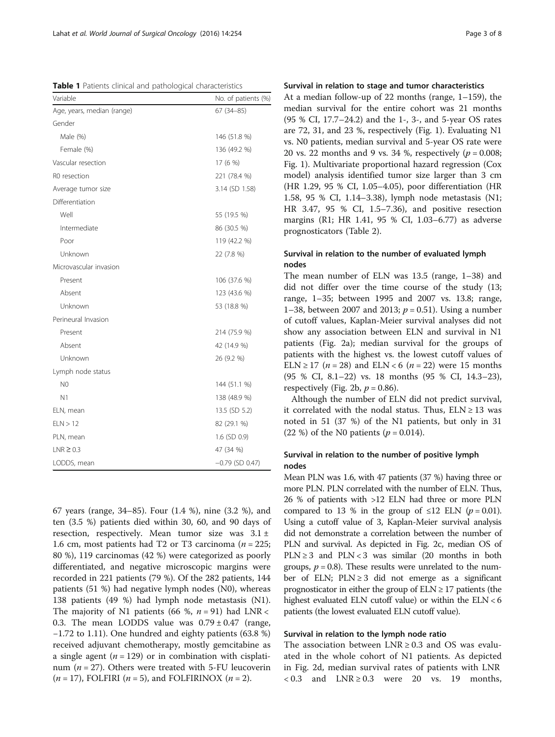<span id="page-2-0"></span>Table 1 Patients clinical and pathological characteristics

| Variable                   | No. of patients (%)<br>$67(34-85)$ |  |
|----------------------------|------------------------------------|--|
| Age, years, median (range) |                                    |  |
| Gender                     |                                    |  |
| Male (%)                   | 146 (51.8 %)                       |  |
| Female (%)                 | 136 (49.2 %)                       |  |
| Vascular resection         | 17 (6 %)                           |  |
| R0 resection               | 221 (78.4 %)                       |  |
| Average tumor size         | 3.14 (SD 1.58)                     |  |
| Differentiation            |                                    |  |
| Well                       | 55 (19.5 %)                        |  |
| Intermediate               | 86 (30.5 %)                        |  |
| Poor                       | 119 (42.2 %)                       |  |
| Unknown                    | 22 (7.8 %)                         |  |
| Microvascular invasion     |                                    |  |
| Present                    | 106 (37.6 %)                       |  |
| Absent                     | 123 (43.6 %)                       |  |
| Unknown                    | 53 (18.8 %)                        |  |
| Perineural Invasion        |                                    |  |
| Present                    | 214 (75.9 %)                       |  |
| Absent                     | 42 (14.9 %)                        |  |
| Unknown                    | 26 (9.2 %)                         |  |
| Lymph node status          |                                    |  |
| N <sub>0</sub>             | 144 (51.1 %)                       |  |
| N1                         | 138 (48.9 %)                       |  |
| ELN, mean                  | 13.5 (SD 5.2)                      |  |
| ELN > 12                   | 82 (29.1 %)                        |  |
| PLN, mean                  | 1.6 (SD 0.9)                       |  |
| $LNR \geq 0.3$             | 47 (34 %)                          |  |
| LODDS, mean                | $-0.79$ (SD 0.47)                  |  |

67 years (range, 34–85). Four (1.4 %), nine (3.2 %), and ten (3.5 %) patients died within 30, 60, and 90 days of resection, respectively. Mean tumor size was  $3.1 \pm$ 1.6 cm, most patients had T2 or T3 carcinoma ( $n = 225$ ; 80 %), 119 carcinomas (42 %) were categorized as poorly differentiated, and negative microscopic margins were recorded in 221 patients (79 %). Of the 282 patients, 144 patients (51 %) had negative lymph nodes (N0), whereas 138 patients (49 %) had lymph node metastasis (N1). The majority of N1 patients (66 %,  $n = 91$ ) had LNR < 0.3. The mean LODDS value was  $0.79 \pm 0.47$  (range, −1.72 to 1.11). One hundred and eighty patients (63.8 %) received adjuvant chemotherapy, mostly gemcitabine as a single agent ( $n = 129$ ) or in combination with cisplatinum ( $n = 27$ ). Others were treated with 5-FU leucoverin  $(n = 17)$ , FOLFIRI  $(n = 5)$ , and FOLFIRINOX  $(n = 2)$ .

# Survival in relation to stage and tumor characteristics

At a median follow-up of 22 months (range, 1–159), the median survival for the entire cohort was 21 months (95 % CI, 17.7–24.2) and the 1-, 3-, and 5-year OS rates are 72, 31, and 23 %, respectively (Fig. [1\)](#page-3-0). Evaluating N1 vs. N0 patients, median survival and 5-year OS rate were 20 vs. 22 months and 9 vs. 34 %, respectively ( $p = 0.008$ ; Fig. [1](#page-3-0)). Multivariate proportional hazard regression (Cox model) analysis identified tumor size larger than 3 cm (HR 1.29, 95 % CI, 1.05–4.05), poor differentiation (HR 1.58, 95 % CI, 1.14–3.38), lymph node metastasis (N1; HR 3.47, 95 % CI, 1.5–7.36), and positive resection margins (R1; HR 1.41, 95 % CI, 1.03–6.77) as adverse prognosticators (Table [2](#page-3-0)).

# Survival in relation to the number of evaluated lymph nodes

The mean number of ELN was 13.5 (range, 1–38) and did not differ over the time course of the study (13; range, 1–35; between 1995 and 2007 vs. 13.8; range, 1–38, between 2007 and 2013;  $p = 0.51$ ). Using a number of cutoff values, Kaplan-Meier survival analyses did not show any association between ELN and survival in N1 patients (Fig. [2a\)](#page-4-0); median survival for the groups of patients with the highest vs. the lowest cutoff values of ELN ≥ 17 (*n* = 28) and ELN < 6 (*n* = 22) were 15 months (95 % CI, 8.1–22) vs. 18 months (95 % CI, 14.3–23), respectively (Fig. [2b,](#page-4-0)  $p = 0.86$ ).

Although the number of ELN did not predict survival, it correlated with the nodal status. Thus,  $ELN \ge 13$  was noted in 51 (37 %) of the N1 patients, but only in 31 (22 %) of the N0 patients ( $p = 0.014$ ).

# Survival in relation to the number of positive lymph nodes

Mean PLN was 1.6, with 47 patients (37 %) having three or more PLN. PLN correlated with the number of ELN. Thus, 26 % of patients with >12 ELN had three or more PLN compared to 13 % in the group of  $\leq 12$  ELN (p = 0.01). Using a cutoff value of 3, Kaplan-Meier survival analysis did not demonstrate a correlation between the number of PLN and survival. As depicted in Fig. [2c](#page-4-0), median OS of PLN  $\geq$  3 and PLN < 3 was similar (20 months in both groups,  $p = 0.8$ ). These results were unrelated to the number of ELN;  $PLN \geq 3$  did not emerge as a significant prognosticator in either the group of  $ELN \geq 17$  patients (the highest evaluated ELN cutoff value) or within the ELN < 6 patients (the lowest evaluated ELN cutoff value).

# Survival in relation to the lymph node ratio

The association between  $LNR \geq 0.3$  and OS was evaluated in the whole cohort of N1 patients. As depicted in Fig. [2d,](#page-4-0) median survival rates of patients with LNR  $< 0.3$  and  $LNR \geq 0.3$  were 20 vs. 19 months,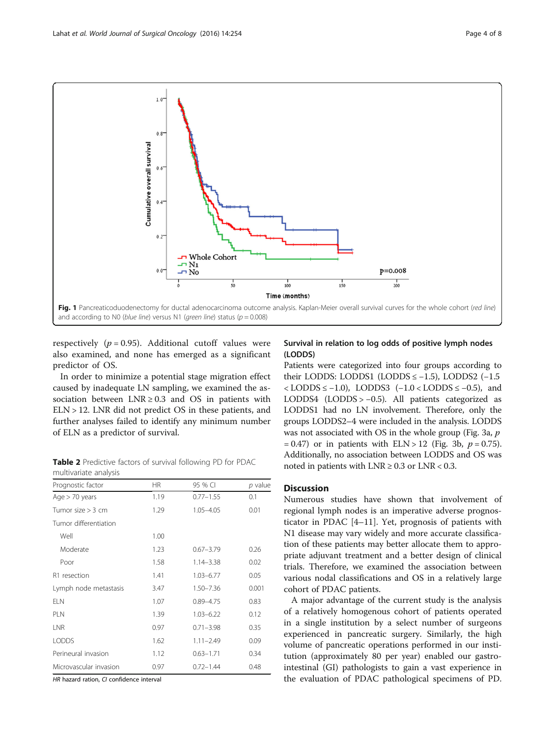<span id="page-3-0"></span>

respectively ( $p = 0.95$ ). Additional cutoff values were also examined, and none has emerged as a significant predictor of OS.

In order to minimize a potential stage migration effect caused by inadequate LN sampling, we examined the association between  $LNR \geq 0.3$  and OS in patients with  $ELN > 12$ . LNR did not predict OS in these patients, and further analyses failed to identify any minimum number of ELN as a predictor of survival.

Table 2 Predictive factors of survival following PD for PDAC multivariate analysis

| Prognostic factor      | <b>HR</b> | 95 % CI       | p value |  |
|------------------------|-----------|---------------|---------|--|
| Age $> 70$ years       | 1.19      | $0.77 - 1.55$ | 0.1     |  |
| Tumor size $>$ 3 cm    | 1.29      | $1.05 - 4.05$ | 0.01    |  |
| Tumor differentiation  |           |               |         |  |
| Well                   | 1.00      |               |         |  |
| Moderate               | 1.23      | $0.67 - 3.79$ | 0.26    |  |
| Poor                   | 1.58      | $1.14 - 3.38$ | 0.02    |  |
| R1 resection           | 1.41      | $1.03 - 6.77$ | 0.05    |  |
| Lymph node metastasis  | 3.47      | $1.50 - 7.36$ | 0.001   |  |
| <b>ELN</b>             | 1.07      | $0.89 - 4.75$ | 0.83    |  |
| <b>PLN</b>             | 1.39      | $1.03 - 6.22$ | 0.12    |  |
| LNR                    | 0.97      | $0.71 - 3.98$ | 0.35    |  |
| <b>LODDS</b>           | 1.62      | $1.11 - 2.49$ | 0.09    |  |
| Perineural invasion    | 1.12      | $0.63 - 1.71$ | 0.34    |  |
| Microvascular invasion | 0.97      | $0.72 - 1.44$ | 0.48    |  |
|                        |           |               |         |  |

HR hazard ration, CI confidence interval

# Survival in relation to log odds of positive lymph nodes (LODDS)

Patients were categorized into four groups according to their LODDS: LODDS1 (LODDS ≤ −1.5), LODDS2 (−1.5  $<$  LODDS  $\leq$  -1.0), LODDS3 (-1.0 < LODDS  $\leq$  -0.5), and LODDS4 (LODDS > −0.5). All patients categorized as LODDS1 had no LN involvement. Therefore, only the groups LODDS2–4 were included in the analysis. LODDS was not associated with OS in the whole group (Fig. [3a](#page-5-0), p  $= 0.47$ ) or in patients with ELN > 12 (Fig. [3b](#page-5-0),  $p = 0.75$ ). Additionally, no association between LODDS and OS was noted in patients with  $LNR \geq 0.3$  or  $LNR < 0.3$ .

### **Discussion**

Numerous studies have shown that involvement of regional lymph nodes is an imperative adverse prognosticator in PDAC [[4](#page-6-0)–[11\]](#page-6-0). Yet, prognosis of patients with N1 disease may vary widely and more accurate classification of these patients may better allocate them to appropriate adjuvant treatment and a better design of clinical trials. Therefore, we examined the association between various nodal classifications and OS in a relatively large cohort of PDAC patients.

A major advantage of the current study is the analysis of a relatively homogenous cohort of patients operated in a single institution by a select number of surgeons experienced in pancreatic surgery. Similarly, the high volume of pancreatic operations performed in our institution (approximately 80 per year) enabled our gastrointestinal (GI) pathologists to gain a vast experience in the evaluation of PDAC pathological specimens of PD.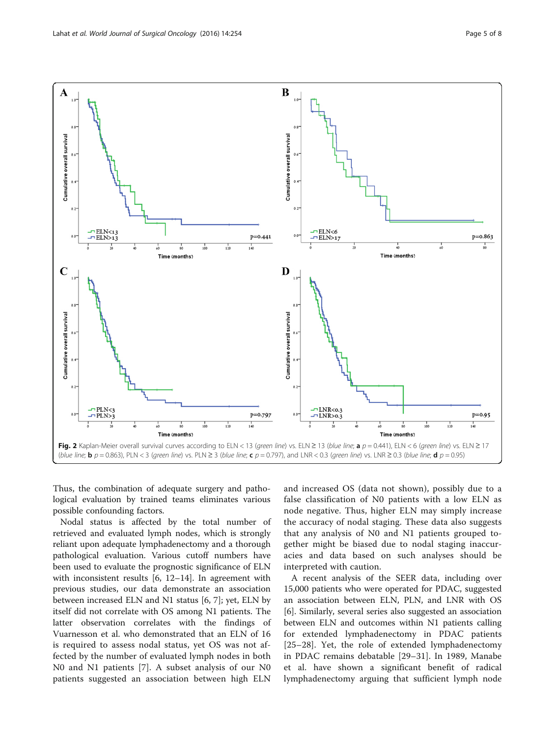<span id="page-4-0"></span>

Thus, the combination of adequate surgery and pathological evaluation by trained teams eliminates various possible confounding factors.

Nodal status is affected by the total number of retrieved and evaluated lymph nodes, which is strongly reliant upon adequate lymphadenectomy and a thorough pathological evaluation. Various cutoff numbers have been used to evaluate the prognostic significance of ELN with inconsistent results [\[6](#page-6-0), [12](#page-6-0)–[14](#page-6-0)]. In agreement with previous studies, our data demonstrate an association between increased ELN and N1 status [\[6](#page-6-0), [7](#page-6-0)]; yet, ELN by itself did not correlate with OS among N1 patients. The latter observation correlates with the findings of Vuarnesson et al. who demonstrated that an ELN of 16 is required to assess nodal status, yet OS was not affected by the number of evaluated lymph nodes in both N0 and N1 patients [[7\]](#page-6-0). A subset analysis of our N0 patients suggested an association between high ELN

and increased OS (data not shown), possibly due to a false classification of N0 patients with a low ELN as node negative. Thus, higher ELN may simply increase the accuracy of nodal staging. These data also suggests that any analysis of N0 and N1 patients grouped together might be biased due to nodal staging inaccuracies and data based on such analyses should be interpreted with caution.

A recent analysis of the SEER data, including over 15,000 patients who were operated for PDAC, suggested an association between ELN, PLN, and LNR with OS [[6\]](#page-6-0). Similarly, several series also suggested an association between ELN and outcomes within N1 patients calling for extended lymphadenectomy in PDAC patients [[25](#page-7-0)–[28](#page-7-0)]. Yet, the role of extended lymphadenectomy in PDAC remains debatable [[29](#page-7-0)–[31\]](#page-7-0). In 1989, Manabe et al. have shown a significant benefit of radical lymphadenectomy arguing that sufficient lymph node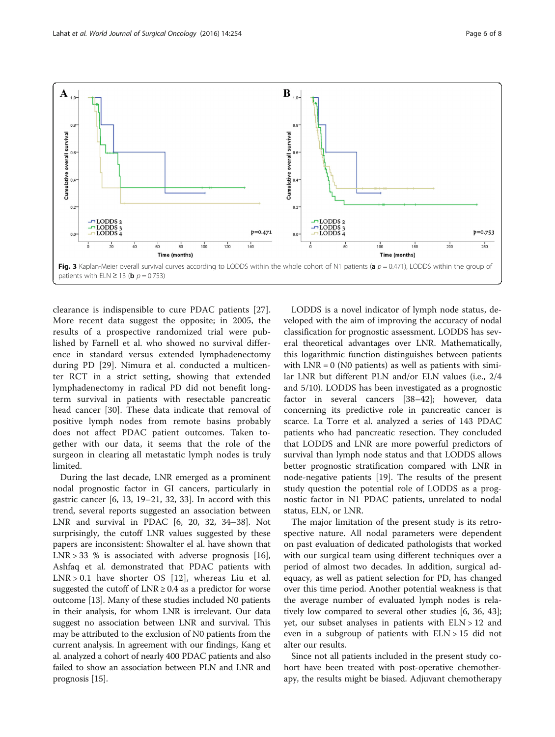<span id="page-5-0"></span>

clearance is indispensible to cure PDAC patients [\[27](#page-7-0)]. More recent data suggest the opposite; in 2005, the results of a prospective randomized trial were published by Farnell et al. who showed no survival difference in standard versus extended lymphadenectomy during PD [[29\]](#page-7-0). Nimura et al. conducted a multicenter RCT in a strict setting, showing that extended lymphadenectomy in radical PD did not benefit longterm survival in patients with resectable pancreatic head cancer [[30\]](#page-7-0). These data indicate that removal of positive lymph nodes from remote basins probably does not affect PDAC patient outcomes. Taken together with our data, it seems that the role of the surgeon in clearing all metastatic lymph nodes is truly limited.

During the last decade, LNR emerged as a prominent nodal prognostic factor in GI cancers, particularly in gastric cancer [\[6](#page-6-0), [13,](#page-6-0) [19](#page-7-0)–[21, 32](#page-7-0), [33\]](#page-7-0). In accord with this trend, several reports suggested an association between LNR and survival in PDAC [\[6](#page-6-0), [20](#page-7-0), [32, 34](#page-7-0)–[38\]](#page-7-0). Not surprisingly, the cutoff LNR values suggested by these papers are inconsistent: Showalter el al. have shown that  $LNR > 33$  % is associated with adverse prognosis [\[16](#page-6-0)], Ashfaq et al. demonstrated that PDAC patients with LNR > 0.1 have shorter OS [[12\]](#page-6-0), whereas Liu et al. suggested the cutoff of  $LNR \geq 0.4$  as a predictor for worse outcome [[13](#page-6-0)]. Many of these studies included N0 patients in their analysis, for whom LNR is irrelevant. Our data suggest no association between LNR and survival. This may be attributed to the exclusion of N0 patients from the current analysis. In agreement with our findings, Kang et al. analyzed a cohort of nearly 400 PDAC patients and also failed to show an association between PLN and LNR and prognosis [\[15\]](#page-6-0).

LODDS is a novel indicator of lymph node status, developed with the aim of improving the accuracy of nodal classification for prognostic assessment. LODDS has several theoretical advantages over LNR. Mathematically, this logarithmic function distinguishes between patients with  $LNR = 0$  (N0 patients) as well as patients with similar LNR but different PLN and/or ELN values (i.e., 2/4 and 5/10). LODDS has been investigated as a prognostic factor in several cancers [[38](#page-7-0)–[42](#page-7-0)]; however, data concerning its predictive role in pancreatic cancer is scarce. La Torre et al. analyzed a series of 143 PDAC patients who had pancreatic resection. They concluded that LODDS and LNR are more powerful predictors of survival than lymph node status and that LODDS allows better prognostic stratification compared with LNR in node-negative patients [[19](#page-7-0)]. The results of the present study question the potential role of LODDS as a prognostic factor in N1 PDAC patients, unrelated to nodal status, ELN, or LNR.

The major limitation of the present study is its retrospective nature. All nodal parameters were dependent on past evaluation of dedicated pathologists that worked with our surgical team using different techniques over a period of almost two decades. In addition, surgical adequacy, as well as patient selection for PD, has changed over this time period. Another potential weakness is that the average number of evaluated lymph nodes is relatively low compared to several other studies [[6,](#page-6-0) [36, 43](#page-7-0)]; yet, our subset analyses in patients with ELN > 12 and even in a subgroup of patients with ELN > 15 did not alter our results.

Since not all patients included in the present study cohort have been treated with post-operative chemotherapy, the results might be biased. Adjuvant chemotherapy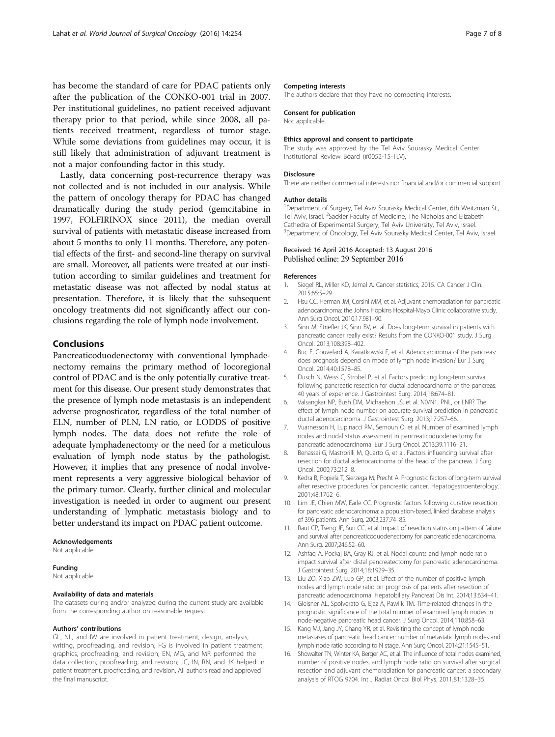<span id="page-6-0"></span>has become the standard of care for PDAC patients only after the publication of the CONKO-001 trial in 2007. Per institutional guidelines, no patient received adjuvant therapy prior to that period, while since 2008, all patients received treatment, regardless of tumor stage. While some deviations from guidelines may occur, it is still likely that administration of adjuvant treatment is not a major confounding factor in this study.

Lastly, data concerning post-recurrence therapy was not collected and is not included in our analysis. While the pattern of oncology therapy for PDAC has changed dramatically during the study period (gemcitabine in 1997, FOLFIRINOX since 2011), the median overall survival of patients with metastatic disease increased from about 5 months to only 11 months. Therefore, any potential effects of the first- and second-line therapy on survival are small. Moreover, all patients were treated at our institution according to similar guidelines and treatment for metastatic disease was not affected by nodal status at presentation. Therefore, it is likely that the subsequent oncology treatments did not significantly affect our conclusions regarding the role of lymph node involvement.

## Conclusions

Pancreaticoduodenectomy with conventional lymphadenectomy remains the primary method of locoregional control of PDAC and is the only potentially curative treatment for this disease. Our present study demonstrates that the presence of lymph node metastasis is an independent adverse prognosticator, regardless of the total number of ELN, number of PLN, LN ratio, or LODDS of positive lymph nodes. The data does not refute the role of adequate lymphadenectomy or the need for a meticulous evaluation of lymph node status by the pathologist. However, it implies that any presence of nodal involvement represents a very aggressive biological behavior of the primary tumor. Clearly, further clinical and molecular investigation is needed in order to augment our present understanding of lymphatic metastasis biology and to better understand its impact on PDAC patient outcome.

#### Acknowledgements

Not applicable.

#### Funding

Not applicable.

#### Availability of data and materials

The datasets during and/or analyzed during the current study are available from the corresponding author on reasonable request.

#### Authors' contributions

GL, NL, and IW are involved in patient treatment, design, analysis, writing, proofreading, and revision; FG is involved in patient treatment, graphics, proofreading, and revision; EN, MG, and MR performed the data collection, proofreading, and revision; JC, IN, RN, and JK helped in patient treatment, proofreading, and revision. All authors read and approved the final manuscript.

#### Competing interests

The authors declare that they have no competing interests.

#### Consent for publication

Not applicable.

#### Ethics approval and consent to participate

The study was approved by the Tel Aviv Sourasky Medical Center Institutional Review Board (#0052-15-TLV).

#### Disclosure

There are neither commercial interests nor financial and/or commercial support.

#### Author details

<sup>1</sup>Department of Surgery, Tel Aviv Sourasky Medical Center, 6th Weitzman St. Tel Aviv, Israel. <sup>2</sup>Sackler Faculty of Medicine, The Nicholas and Elizabeth Cathedra of Experimental Surgery, Tel Aviv University, Tel Aviv, Israel. <sup>3</sup>Department of Oncology, Tel Aviv Sourasky Medical Center, Tel Aviv, Israel

#### Received: 16 April 2016 Accepted: 13 August 2016 Published online: 29 September 2016

#### References

- 1. Siegel RL, Miller KD, Jemal A. Cancer statistics, 2015. CA Cancer J Clin. 2015;65:5–29.
- 2. Hsu CC, Herman JM, Corsini MM, et al. Adjuvant chemoradiation for pancreatic adenocarcinoma: the Johns Hopkins Hospital-Mayo Clinic collaborative study. Ann Surg Oncol. 2010;17:981–90.
- 3. Sinn M, Striefler JK, Sinn BV, et al. Does long-term survival in patients with pancreatic cancer really exist? Results from the CONKO-001 study. J Surg Oncol. 2013;108:398–402.
- 4. Buc E, Couvelard A, Kwiatkowski F, et al. Adenocarcinoma of the pancreas: does prognosis depend on mode of lymph node invasion? Eur J Surg Oncol. 2014;40:1578–85.
- 5. Dusch N, Weiss C, Strobel P, et al. Factors predicting long-term survival following pancreatic resection for ductal adenocarcinoma of the pancreas: 40 years of experience. J Gastrointest Surg. 2014;18:674–81.
- 6. Valsangkar NP, Bush DM, Michaelson JS, et al. N0/N1, PNL, or LNR? The effect of lymph node number on accurate survival prediction in pancreatic ductal adenocarcinoma. J Gastrointest Surg. 2013;17:257–66.
- 7. Vuarnesson H, Lupinacci RM, Semoun O, et al. Number of examined lymph nodes and nodal status assessment in pancreaticoduodenectomy for pancreatic adenocarcinoma. Eur J Surg Oncol. 2013;39:1116–21.
- 8. Benassai G, Mastrorilli M, Quarto G, et al. Factors influencing survival after resection for ductal adenocarcinoma of the head of the pancreas. J Surg Oncol. 2000;73:212–8.
- 9. Kedra B, Popiela T, Sierzega M, Precht A. Prognostic factors of long-term survival after resective procedures for pancreatic cancer. Hepatogastroenterology. 2001;48:1762–6.
- 10. Lim JE, Chien MW, Earle CC. Prognostic factors following curative resection for pancreatic adenocarcinoma: a population-based, linked database analysis of 396 patients. Ann Surg. 2003;237:74–85.
- 11. Raut CP, Tseng JF, Sun CC, et al. Impact of resection status on pattern of failure and survival after pancreaticoduodenectomy for pancreatic adenocarcinoma. Ann Surg. 2007;246:52–60.
- 12. Ashfaq A, Pockaj BA, Gray RJ, et al. Nodal counts and lymph node ratio impact survival after distal pancreatectomy for pancreatic adenocarcinoma. J Gastrointest Surg. 2014;18:1929–35.
- 13. Liu ZQ, Xiao ZW, Luo GP, et al. Effect of the number of positive lymph nodes and lymph node ratio on prognosis of patients after resection of pancreatic adenocarcinoma. Hepatobiliary Pancreat Dis Int. 2014;13:634–41.
- 14. Gleisner AL, Spolverato G, Ejaz A, Pawlik TM. Time-related changes in the prognostic significance of the total number of examined lymph nodes in node-negative pancreatic head cancer. J Surg Oncol. 2014;110:858–63.
- 15. Kang MJ, Jang JY, Chang YR, et al. Revisiting the concept of lymph node metastases of pancreatic head cancer: number of metastatic lymph nodes and lymph node ratio according to N stage. Ann Surg Oncol. 2014;21:1545–51.
- 16. Showalter TN, Winter KA, Berger AC, et al. The influence of total nodes examined, number of positive nodes, and lymph node ratio on survival after surgical resection and adjuvant chemoradiation for pancreatic cancer: a secondary analysis of RTOG 9704. Int J Radiat Oncol Biol Phys. 2011;81:1328–35.